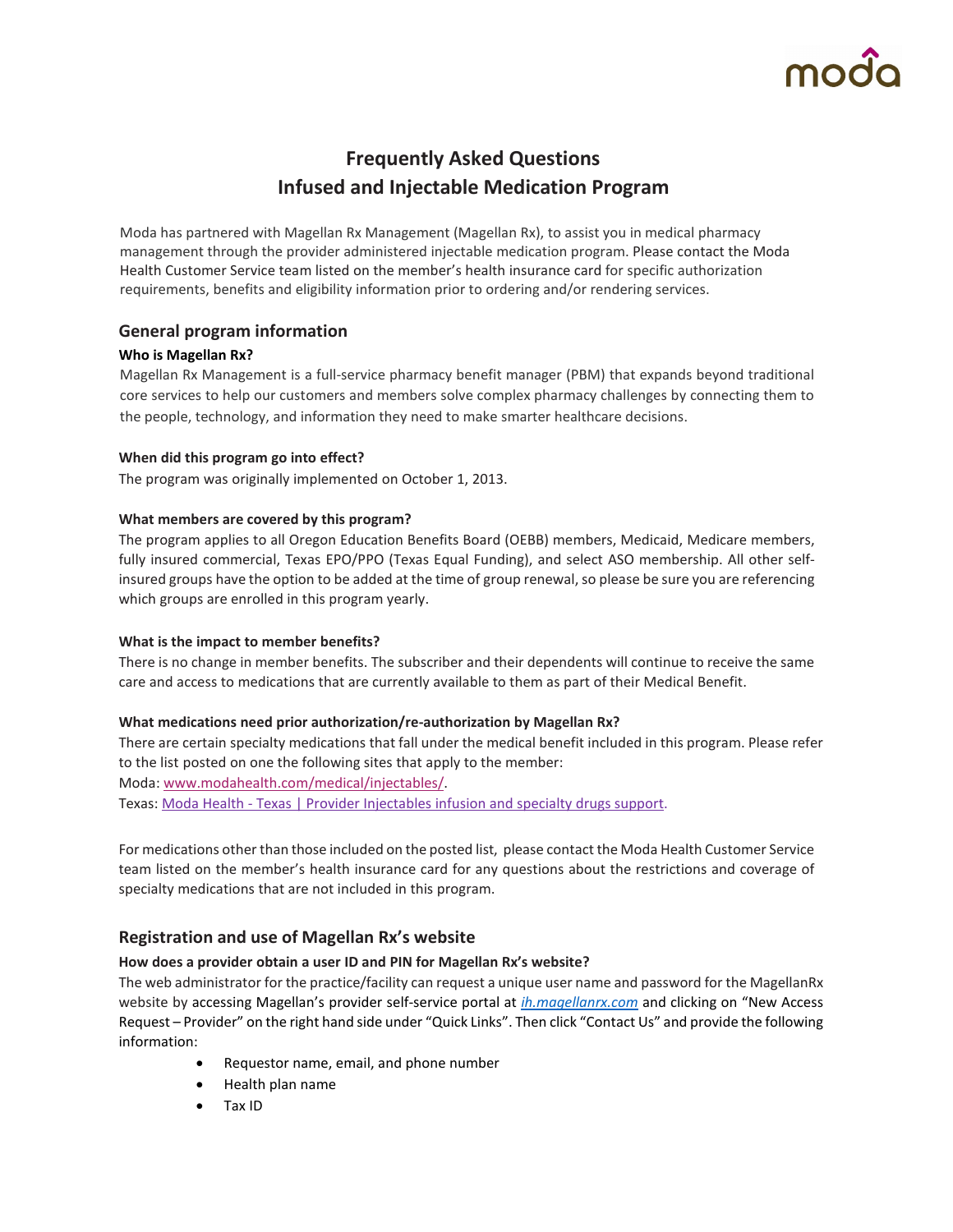# **Frequently Asked Questions Infused and Injectable Medication Program**

Moda has partnered with Magellan Rx Management (Magellan Rx), to assist you in medical pharmacy management through the provider administered injectable medication program. Please contact the Moda Health Customer Service team listed on the member's health insurance card for specific authorization requirements, benefits and eligibility information prior to ordering and/or rendering services.

## **General program information**

### **Who is Magellan Rx?**

Magellan Rx Management is a full-service pharmacy benefit manager (PBM) that expands beyond traditional core services to help our customers and members solve complex pharmacy challenges by connecting them to the people, technology, and information they need to make smarter healthcare decisions.

#### **When did this program go into effect?**

The program was originally implemented on October 1, 2013.

#### **What members are covered by this program?**

The program applies to all Oregon Education Benefits Board (OEBB) members, Medicaid, Medicare members, fully insured commercial, Texas EPO/PPO (Texas Equal Funding), and select ASO membership. All other selfinsured groups have the option to be added at the time of group renewal, so please be sure you are referencing which groups are enrolled in this program yearly.

#### **What is the impact to member benefits?**

There is no change in member benefits. The subscriber and their dependents will continue to receive the same care and access to medications that are currently available to them as part of their Medical Benefit.

### **What medications need prior authorization/re-authorization by Magellan Rx?**

There are certain specialty medications that fall under the medical benefit included in this program. Please refer to the list posted on one the following sites that apply to the member: Moda[:](http://www.modahealth.com/medical/injectables/) [www.modahealth.com/medical/injectables/.](http://www.modahealth.com/medical/injectables/) Texas: Moda Health - [Texas | Provider Injectables infusion and specialty drugs support.](https://www.modahealth.com/texas/provider/coverage-and-claims/prior-authorizations-and-referrals/injectables-infusion-and-speciality-drugs)

For medications other than those included on the posted list, please contact the Moda Health Customer Service team listed on the member's health insurance card for any questions about the restrictions and coverage of specialty medications that are not included in this program.

### **Registration and use of Magellan Rx's website**

### **How does a provider obtain a user ID and PIN for Magellan Rx's website?**

The web administrator for the practice/facility can request a unique user name and password for the MagellanRx website by accessing Magellan's provider self-service portal at *[ih.magellanrx.com](http://www3.bcbsfl.com/wps/portal/bcbsfl/disclaimer?targetURL=http://www.icorehealthcare.com&WCM_GLOBAL_CONTEXT=)* and clicking on "New Access Request – Provider" on the right hand side under "Quick Links". Then click "Contact Us" and provide the following information:

- Requestor name, email, and phone number
- Health plan name
- Tax ID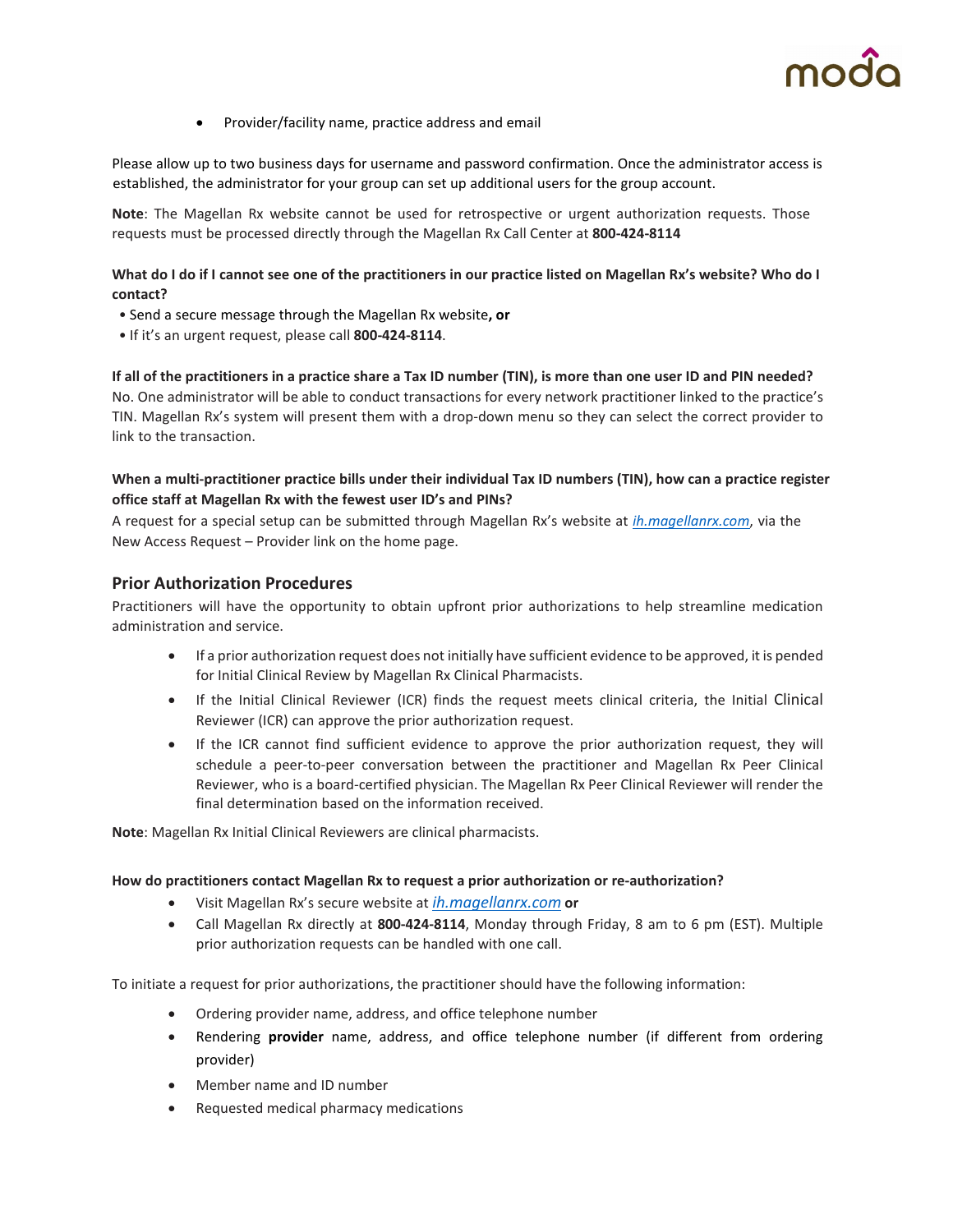

• Provider/facility name, practice address and email

Please allow up to two business days for username and password confirmation. Once the administrator access is established, the administrator for your group can set up additional users for the group account.

**Note**: The Magellan Rx website cannot be used for retrospective or urgent authorization requests. Those requests must be processed directly through the Magellan Rx Call Center at **800-424-8114**

#### **What do I do if I cannot see one of the practitioners in our practice listed on Magellan Rx's website? Who do I contact?**

- Send a secure message through the Magellan Rx website**, or**
- If it's an urgent request, please call **800-424-8114**.

# **If all of the practitioners in a practice share a Tax ID number (TIN), is more than one user ID and PIN needed?**

No. One administrator will be able to conduct transactions for every network practitioner linked to the practice's TIN. Magellan Rx's system will present them with a drop-down menu so they can select the correct provider to link to the transaction.

#### **When a multi-practitioner practice bills under their individual Tax ID numbers (TIN), how can a practice register office staff at Magellan Rx with the fewest user ID's and PINs?**

A request for a special setup can be submitted through Magellan Rx's website a[t](http://www3.bcbsfl.com/wps/portal/bcbsfl/disclaimer?targetURL=http://www.icorehealthcare.com&WCM_GLOBAL_CONTEXT=) *[ih.magellanrx.com](http://www3.bcbsfl.com/wps/portal/bcbsfl/disclaimer?targetURL=http://www.icorehealthcare.com&WCM_GLOBAL_CONTEXT=)*[,](http://www3.bcbsfl.com/wps/portal/bcbsfl/disclaimer?targetURL=http://www.icorehealthcare.com&WCM_GLOBAL_CONTEXT=) [via](http://www3.bcbsfl.com/wps/portal/bcbsfl/disclaimer?targetURL=http://www.icorehealthcare.com&WCM_GLOBAL_CONTEXT=) the New Access Request – Provider link on the home page.

#### **Prior Authorization Procedures**

Practitioners will have the opportunity to obtain upfront prior authorizations to help streamline medication administration and service.

- If a prior authorization request does not initially have sufficient evidence to be approved, it is pended for Initial Clinical Review by Magellan Rx Clinical Pharmacists.
- If the Initial Clinical Reviewer (ICR) finds the request meets clinical criteria, the Initial Clinical Reviewer (ICR) can approve the prior authorization request.
- If the ICR cannot find sufficient evidence to approve the prior authorization request, they will schedule a peer-to-peer conversation between the practitioner and Magellan Rx Peer Clinical Reviewer, who is a board-certified physician. The Magellan Rx Peer Clinical Reviewer will render the final determination based on the information received.

**Note**: Magellan Rx Initial Clinical Reviewers are clinical pharmacists.

#### **How do practitioners contact Magellan Rx to request a prior authorization or re-authorization?**

- Visit Magellan Rx's secure website a[t](http://www3.bcbsfl.com/wps/portal/bcbsfl/disclaimer?targetURL=http://www.icorehealthcare.com&WCM_GLOBAL_CONTEXT=) *[ih.magellanrx.com](http://www3.bcbsfl.com/wps/portal/bcbsfl/disclaimer?targetURL=http://www.icorehealthcare.com&WCM_GLOBAL_CONTEXT=)* **o[r](http://www3.bcbsfl.com/wps/portal/bcbsfl/disclaimer?targetURL=http://www.icorehealthcare.com&WCM_GLOBAL_CONTEXT=)**
- Call Magellan Rx directly at **800-424-8114**, Monday through Friday, 8 am to 6 pm (EST). Multiple prior authorization requests can be handled with one call.

To initiate a request for prior authorizations, the practitioner should have the following information:

- Ordering provider name, address, and office telephone number
- Rendering **provider** name, address, and office telephone number (if different from ordering provider)
- Member name and ID number
- Requested medical pharmacy medications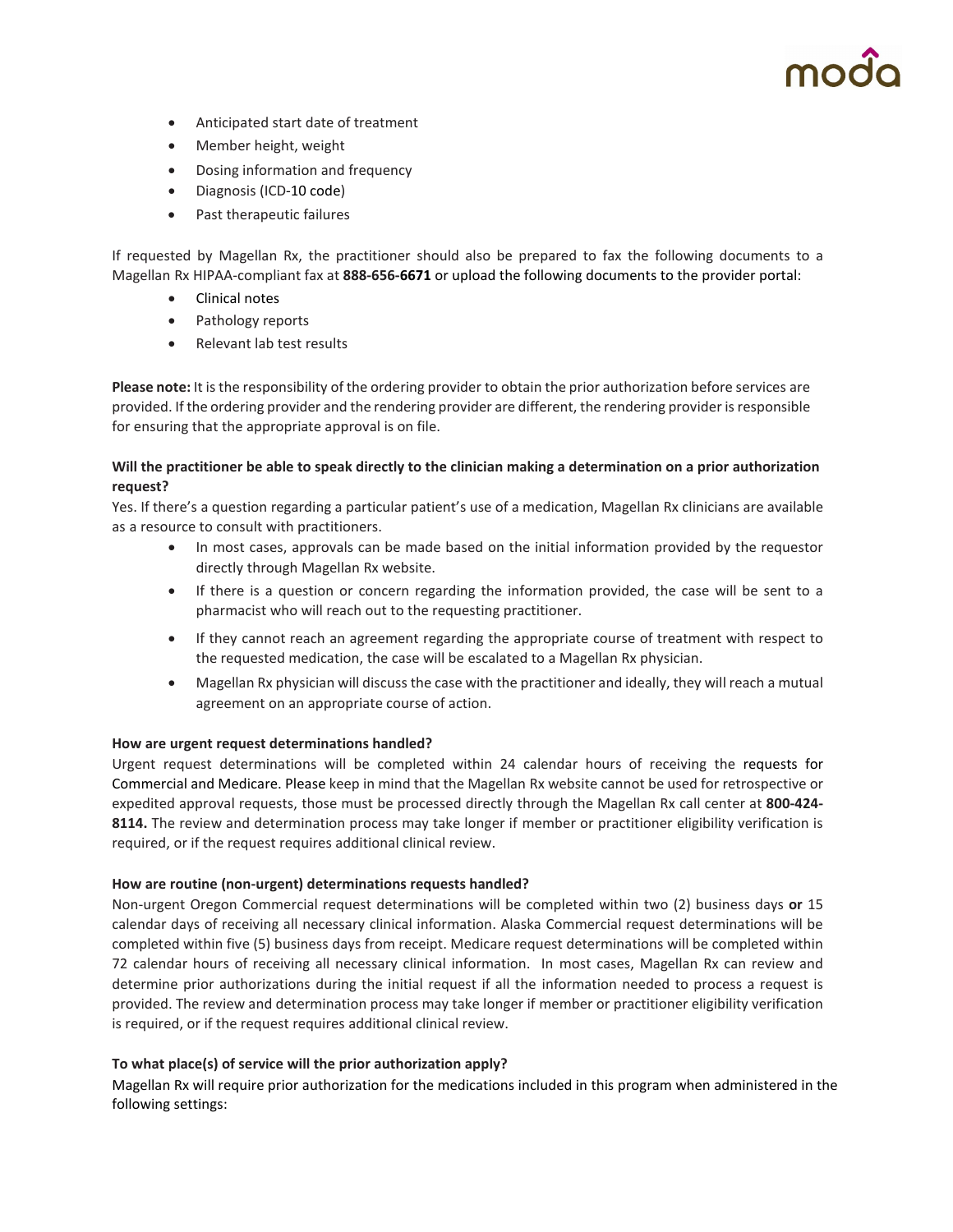- Anticipated start date of treatment
- Member height, weight
- Dosing information and frequency
- Diagnosis (ICD-10 code)
- Past therapeutic failures

If requested by Magellan Rx, the practitioner should also be prepared to fax the following documents to a Magellan Rx HIPAA-compliant fax at **888-656-6671** or upload the following documents to the provider portal:

- Clinical notes
- Pathology reports
- Relevant lab test results

**Please note:** It is the responsibility of the ordering provider to obtain the prior authorization before services are provided. If the ordering provider and the rendering provider are different, the rendering provider is responsible for ensuring that the appropriate approval is on file.

#### **Will the practitioner be able to speak directly to the clinician making a determination on a prior authorization request?**

Yes. If there's a question regarding a particular patient's use of a medication, Magellan Rx clinicians are available as a resource to consult with practitioners.

- In most cases, approvals can be made based on the initial information provided by the requestor directly through Magellan Rx website.
- If there is a question or concern regarding the information provided, the case will be sent to a pharmacist who will reach out to the requesting practitioner.
- If they cannot reach an agreement regarding the appropriate course of treatment with respect to the requested medication, the case will be escalated to a Magellan Rx physician.
- Magellan Rx physician will discuss the case with the practitioner and ideally, they will reach a mutual agreement on an appropriate course of action.

#### **How are urgent request determinations handled?**

Urgent request determinations will be completed within 24 calendar hours of receiving the requests for Commercial and Medicare. Please keep in mind that the Magellan Rx website cannot be used for retrospective or expedited approval requests, those must be processed directly through the Magellan Rx call center at **800-424- 8114.** The review and determination process may take longer if member or practitioner eligibility verification is required, or if the request requires additional clinical review.

#### **How are routine (non-urgent) determinations requests handled?**

Non-urgent Oregon Commercial request determinations will be completed within two (2) business days **or** 15 calendar days of receiving all necessary clinical information. Alaska Commercial request determinations will be completed within five (5) business days from receipt. Medicare request determinations will be completed within 72 calendar hours of receiving all necessary clinical information. In most cases, Magellan Rx can review and determine prior authorizations during the initial request if all the information needed to process a request is provided. The review and determination process may take longer if member or practitioner eligibility verification is required, or if the request requires additional clinical review.

#### **To what place(s) of service will the prior authorization apply?**

Magellan Rx will require prior authorization for the medications included in this program when administered in the following settings: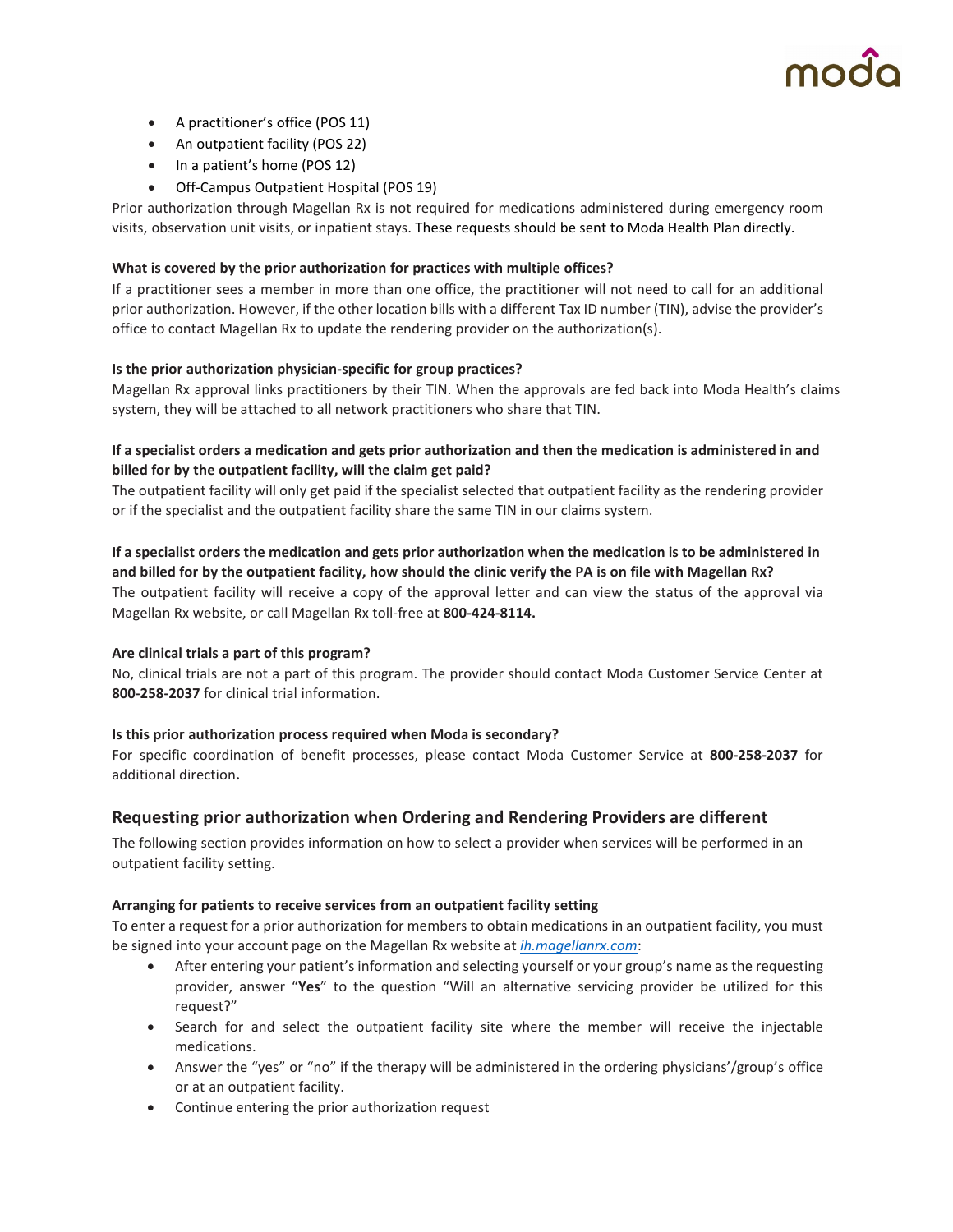

- A practitioner's office (POS 11)
- An outpatient facility (POS 22)
- In a patient's home (POS 12)
- Off-Campus Outpatient Hospital (POS 19)

Prior authorization through Magellan Rx is not required for medications administered during emergency room visits, observation unit visits, or inpatient stays. These requests should be sent to Moda Health Plan directly.

#### **What is covered by the prior authorization for practices with multiple offices?**

If a practitioner sees a member in more than one office, the practitioner will not need to call for an additional prior authorization. However, if the other location bills with a different Tax ID number (TIN), advise the provider's office to contact Magellan Rx to update the rendering provider on the authorization(s).

#### **Is the prior authorization physician-specific for group practices?**

Magellan Rx approval links practitioners by their TIN. When the approvals are fed back into Moda Health's claims system, they will be attached to all network practitioners who share that TIN.

#### **If a specialist orders a medication and gets prior authorization and then the medication is administered in and billed for by the outpatient facility, will the claim get paid?**

The outpatient facility will only get paid if the specialist selected that outpatient facility as the rendering provider or if the specialist and the outpatient facility share the same TIN in our claims system.

#### **If a specialist orders the medication and gets prior authorization when the medication is to be administered in and billed for by the outpatient facility, how should the clinic verify the PA is on file with Magellan Rx?** The outpatient facility will receive a copy of the approval letter and can view the status of the approval via

Magellan Rx website, or call Magellan Rx toll-free at **800-424-8114.**

#### **Are clinical trials a part of this program?**

No, clinical trials are not a part of this program. The provider should contact Moda Customer Service Center at **800-258-2037** for clinical trial information.

#### **Is this prior authorization process required when Moda is secondary?**

For specific coordination of benefit processes, please contact Moda Customer Service at **800-258-2037** for additional direction**.**

### **Requesting prior authorization when Ordering and Rendering Providers are different**

The following section provides information on how to select a provider when services will be performed in an outpatient facility setting.

#### **Arranging for patients to receive services from an outpatient facility setting**

To enter a request for a prior authorization for members to obtain medications in an outpatient facility, you must be signed into your account page on the Magellan Rx website at *[ih.magellanrx.com](http://www3.bcbsfl.com/wps/portal/bcbsfl/disclaimer?targetURL=http://www.icorehealthcare.com&WCM_GLOBAL_CONTEXT=)*[:](http://www3.bcbsfl.com/wps/portal/bcbsfl/disclaimer?targetURL=http://www.icorehealthcare.com&WCM_GLOBAL_CONTEXT=)

- After entering your patient's information and selecting yourself or your group's name as the requesting provider, answer "**Yes**" to the question "Will an alternative servicing provider be utilized for this request?"
- Search for and select the outpatient facility site where the member will receive the injectable medications.
- Answer the "yes" or "no" if the therapy will be administered in the ordering physicians'/group's office or at an outpatient facility.
- Continue entering the prior authorization request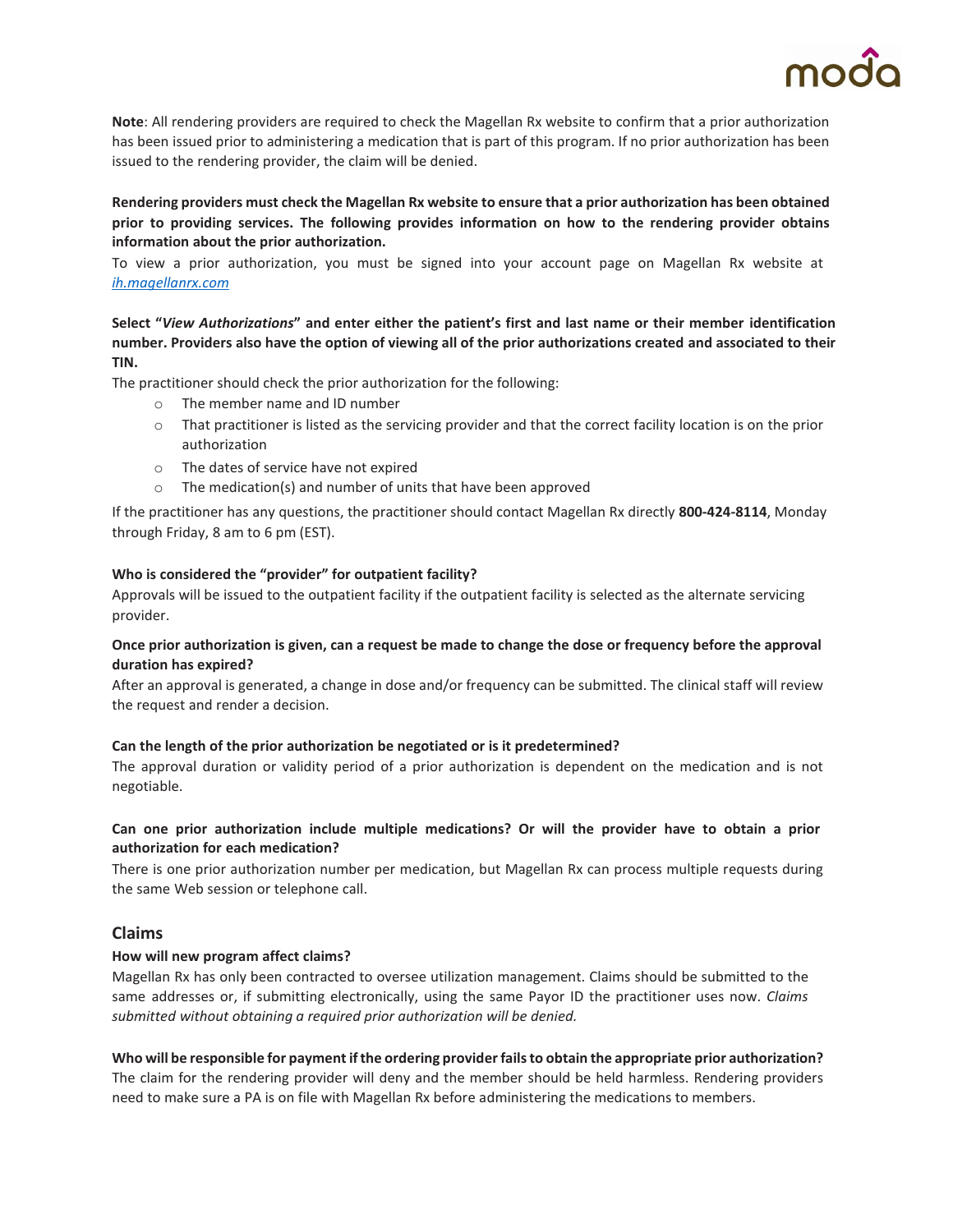

**Note**: All rendering providers are required to check the Magellan Rx website to confirm that a prior authorization has been issued prior to administering a medication that is part of this program. If no prior authorization has been issued to the rendering provider, the claim will be denied.

#### **Rendering providers must check the Magellan Rx website to ensure that a prior authorization has been obtained prior to providing services. The following provides information on how to the rendering provider obtains information about the prior authorization.**

To view a prior authorization, you must be signed into your account page on Magellan Rx website at *[ih.magellanrx.com](http://www3.bcbsfl.com/wps/portal/bcbsfl/disclaimer?targetURL=http://www.icorehealthcare.com&WCM_GLOBAL_CONTEXT=)*

#### **Select "***View Authorizations***" and enter either the patient's first and last name or their member identification number. Providers also have the option of viewing all of the prior authorizations created and associated to their TIN.**

The practitioner should check the prior authorization for the following:

- o The member name and ID number
- o That practitioner is listed as the servicing provider and that the correct facility location is on the prior authorization
- o The dates of service have not expired
- o The medication(s) and number of units that have been approved

If the practitioner has any questions, the practitioner should contact Magellan Rx directly **800-424-8114**, Monday through Friday, 8 am to 6 pm (EST).

#### **Who is considered the "provider" for outpatient facility?**

Approvals will be issued to the outpatient facility if the outpatient facility is selected as the alternate servicing provider.

#### **Once prior authorization is given, can a request be made to change the dose or frequency before the approval duration has expired?**

After an approval is generated, a change in dose and/or frequency can be submitted. The clinical staff will review the request and render a decision.

#### **Can the length of the prior authorization be negotiated or is it predetermined?**

The approval duration or validity period of a prior authorization is dependent on the medication and is not negotiable.

#### **Can one prior authorization include multiple medications? Or will the provider have to obtain a prior authorization for each medication?**

There is one prior authorization number per medication, but Magellan Rx can process multiple requests during the same Web session or telephone call.

#### **Claims**

#### **How will new program affect claims?**

Magellan Rx has only been contracted to oversee utilization management. Claims should be submitted to the same addresses or, if submitting electronically, using the same Payor ID the practitioner uses now. *Claims submitted without obtaining a required prior authorization will be denied.*

# **Who will be responsible for payment if the ordering provider fails to obtain the appropriate prior authorization?**

The claim for the rendering provider will deny and the member should be held harmless. Rendering providers need to make sure a PA is on file with Magellan Rx before administering the medications to members.